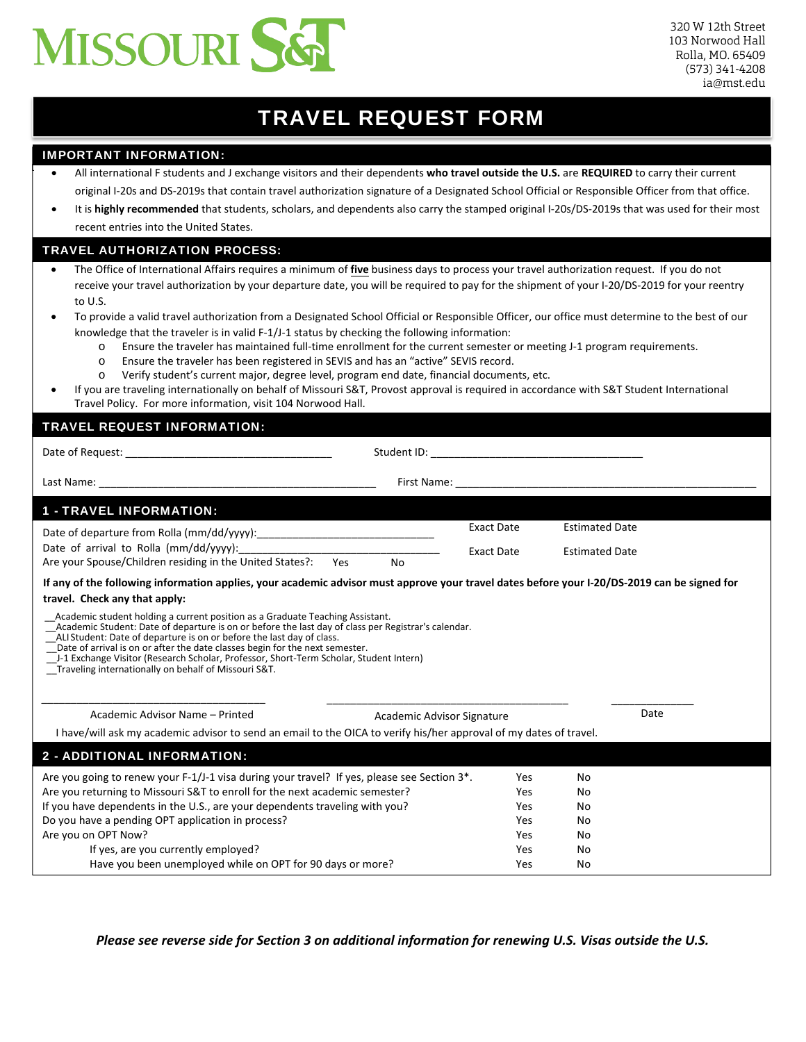

# TRAVEL REQUEST FORM

## IMPORTANT INFORMATION:

- All international F students and J exchange visitors and their dependents **who travel outside the U.S.** are **REQUIRED** to carry their current original I-20s and DS-2019s that contain travel authorization signature of a Designated School Official or Responsible Officer from that office.
- It is **highly recommended** that students, scholars, and dependents also carry the stamped original I‐20s/DS‐2019s that was used for their most recent entries into the United States.

## TRAVEL AUTHORIZATION PROCESS:

- The Office of International Affairs requires a minimum of **five** business days to process your travel authorization request. If you do not receive your travel authorization by your departure date, you will be required to pay for the shipment of your I-20/DS-2019 for your reentry to U.S.
- To provide a valid travel authorization from a Designated School Official or Responsible Officer, our office must determine to the best of our knowledge that the traveler is in valid F-1/J-1 status by checking the following information:
	- o Ensure the traveler has maintained full‐time enrollment for the current semester or meeting J-1 program requirements.
	- o Ensure the traveler has been registered in SEVIS and has an "active" SEVIS record.
	- o Verify student's current major, degree level, program end date, financial documents, etc.
- If you are traveling internationally on behalf of Missouri S&T, Provost approval is required in accordance with S&T Student International Travel Policy. For more information, visit 104 Norwood Hall.

## TRAVEL REQUEST INFORMATION:

| Last Name: The contract of the contract of the contract of the contract of the contract of the contract of the contract of the contract of the contract of the contract of the contract of the contract of the contract of the                                                                                                                                           |                   |                       |
|--------------------------------------------------------------------------------------------------------------------------------------------------------------------------------------------------------------------------------------------------------------------------------------------------------------------------------------------------------------------------|-------------------|-----------------------|
| <b>1 - TRAVEL INFORMATION:</b>                                                                                                                                                                                                                                                                                                                                           |                   |                       |
|                                                                                                                                                                                                                                                                                                                                                                          | <b>Exact Date</b> | <b>Estimated Date</b> |
|                                                                                                                                                                                                                                                                                                                                                                          | <b>Exact Date</b> | <b>Estimated Date</b> |
| Are your Spouse/Children residing in the United States?: Yes<br>No                                                                                                                                                                                                                                                                                                       |                   |                       |
| If any of the following information applies, your academic advisor must approve your travel dates before your I-20/DS-2019 can be signed for                                                                                                                                                                                                                             |                   |                       |
| travel. Check any that apply:                                                                                                                                                                                                                                                                                                                                            |                   |                       |
| ALI Student: Date of departure is on or before the last day of class.<br>Date of arrival is on or after the date classes begin for the next semester.<br>J-1 Exchange Visitor (Research Scholar, Professor, Short-Term Scholar, Student Intern)<br>Traveling internationally on behalf of Missouri S&T.<br>Academic Advisor Name - Printed<br>Academic Advisor Signature |                   | Date                  |
| I have/will ask my academic advisor to send an email to the OICA to verify his/her approval of my dates of travel.                                                                                                                                                                                                                                                       |                   |                       |
| 2 - ADDITIONAL INFORMATION:                                                                                                                                                                                                                                                                                                                                              |                   |                       |
| Are you going to renew your F-1/J-1 visa during your travel? If yes, please see Section 3*.                                                                                                                                                                                                                                                                              | Yes               | No                    |
| Are you returning to Missouri S&T to enroll for the next academic semester?                                                                                                                                                                                                                                                                                              | Yes               | No                    |
| If you have dependents in the U.S., are your dependents traveling with you?                                                                                                                                                                                                                                                                                              | Yes               | No                    |
| Do you have a pending OPT application in process?                                                                                                                                                                                                                                                                                                                        | Yes               | No                    |
| Are you on OPT Now?                                                                                                                                                                                                                                                                                                                                                      | Yes               | No                    |
| If yes, are you currently employed?                                                                                                                                                                                                                                                                                                                                      | Yes               | No                    |
| Have you been unemployed while on OPT for 90 days or more?                                                                                                                                                                                                                                                                                                               | Yes               | No                    |

*Please see reverse side for Section 3 on additional information for renewing U.S. Visas outside the U.S.*